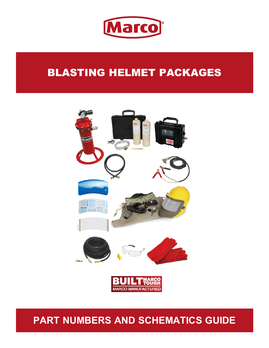

# BLASTING HELMET PACKAGES



# **PART NUMBERS AND SCHEMATICS GUIDE**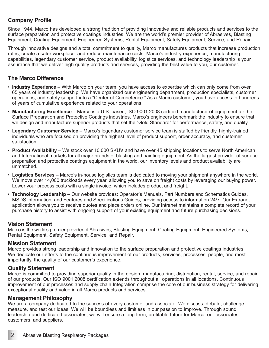## **Company Profile**

Since 1944, Marco has developed a strong tradition of providing innovative and reliable products and services to the surface preparation and protective coatings industries. We are the world's premier provider of Abrasives, Blasting Equipment, Coating Equipment, Engineered Systems, Rental Equipment, Safety Equipment, Service, and Repair.

Through innovative designs and a total commitment to quality, Marco manufactures products that increase production rates, create a safer workplace, and reduce maintenance costs. Marco's industry experience, manufacturing capabilities, legendary customer service, product availability, logistics services, and technology leadership is your assurance that we deliver high quality products and services, providing the best value to you, our customer.

### **The Marco Difference**

- **Industry Experience** With Marco on your team, you have access to expertise which can only come from over 65 years of industry leadership. We have organized our engineering department, production specialists, customer operations, and safety support into a "Center of Competence." As a Marco customer, you have access to hundreds of years of cumulative experience related to your operations.
- **Manufacturing Excellence** Marco is a U.S. based, ISO 9001:2008 certified manufacturer of equipment for the Surface Preparation and Protective Coatings industries. Marco's engineers benchmark the industry to ensure that we design and manufacture superior products that set the "Gold Standard" for performance, safety, and quality.
- **Legendary Customer Service** Marco's legendary customer service team is staffed by friendly, highly-trained individuals who are focused on providing the highest level of product support, order accuracy, and customer satisfaction.
- **Product Availability** We stock over 10,000 SKU's and have over 45 shipping locations to serve North American and International markets for all major brands of blasting and painting equipment. As the largest provider of surface preparation and protective coatings equipment in the world, our inventory levels and product availability are unmatched.
- **Logistics Services** Marco's in-house logistics team is dedicated to moving your shipment anywhere in the world. We move over 14,000 truckloads every year, allowing you to save on freight costs by leveraging our buying power. Lower your process costs with a single invoice, which includes product and freight.
- **Technology Leadership** Our website provides: Operator's Manuals, Part Numbers and Schematics Guides, MSDS information, and Features and Specifications Guides, providing access to information 24/7. Our Extranet application allows you to receive quotes and place orders online. Our Intranet maintains a complete record of your purchase history to assist with ongoing support of your existing equipment and future purchasing decisions.

#### **Vision Statement**

Marco is the world's premier provider of Abrasives, Blasting Equipment, Coating Equipment, Engineered Systems, Rental Equipment, Safety Equipment, Service, and Repair.

#### **Mission Statement**

Marco provides strong leadership and innovation to the surface preparation and protective coatings industries We dedicate our efforts to the continuous improvement of our products, services, processes, people, and most importantly, the quality of our customer's experience.

#### **Quality Statement**

Marco is committed to providing superior quality in the design, manufacturing, distribution, rental, service, and repair of our products. Our ISO 9001:2008 certification extends throughout all operations in all locations. Continuous improvement of our processes and supply chain Integration comprise the core of our business strategy for delivering exceptional quality and value in all Marco products and services.

#### **Management Philosophy**

We are a company dedicated to the success of every customer and associate. We discuss, debate, challenge, measure, and test our ideas. We will be boundless and limitless in our passion to improve. Through sound leadership and dedicated associates, we will ensure a long term, profitable future for Marco, our associates, customers, and suppliers.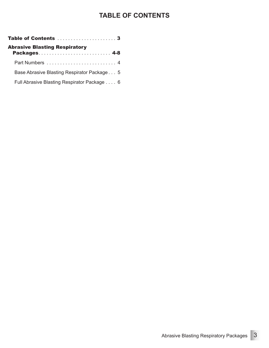# **TABLE OF CONTENTS**

| <b>Abrasive Blasting Respiratory</b><br>Packages 4-8 |  |  |
|------------------------------------------------------|--|--|
|                                                      |  |  |
| Base Abrasive Blasting Respirator Package 5          |  |  |
| Full Abrasive Blasting Respirator Package 6          |  |  |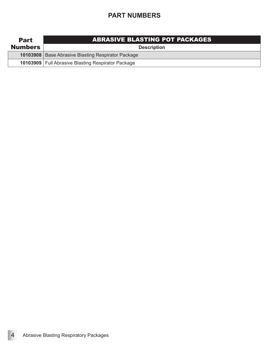# **PART NUMBERS**

| <b>Part</b>    | <b>ABRASIVE BLASTING POT PACKAGES</b>                |
|----------------|------------------------------------------------------|
| <b>Numbers</b> | <b>Description</b>                                   |
|                | 10103908   Base Abrasive Blasting Respirator Package |
|                | 10103909   Full Abrasive Blasting Respirator Package |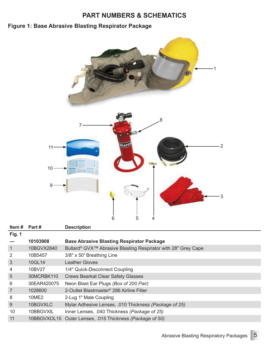## **PART NUMBERS & SCHEMATICS**

# **Figure 1: Base Abrasive Blasting Respirator Package**



| Item#          | Part #      | <b>Description</b>                                                        |
|----------------|-------------|---------------------------------------------------------------------------|
| <b>Fig. 1</b>  |             |                                                                           |
|                | 10103908    | <b>Base Abrasive Blasting Respirator Package</b>                          |
| $\mathbf{1}$   | 10BGVX2840  | Bullard <sup>®</sup> GVX™ Abrasive Blasting Respirator with 28" Grey Cape |
| 2              | 10B5457     | 3/8" x 50' Breathing Line                                                 |
| 3              | 10GL14      | <b>Leather Gloves</b>                                                     |
| 4              | 10BV27      | 1/4" Quick-Disconnect Coupling                                            |
| 5              | 30MCRBK110  | <b>Crews Bearkat Clear Safety Glasses</b>                                 |
| 6              | 30EAR420075 | Neon Blast Ear Plugs (Box of 200 Pair)                                    |
| $\overline{7}$ | 1028600     | 2-Outlet Blastmaster <sup>®</sup> 286 Airline Filter                      |
| 8              | 10ME2       | 2-Lug 1" Male Coupling                                                    |
| 9              | 10BGVXLC    | Mylar Adhesive Lenses, .010 Thickness (Package of 25)                     |
| 10             | 10BBGVXIL   | Inner Lenses, .040 Thickness (Package of 25)                              |
| 11             | 10BBGVXOL15 | Outer Lenses, .015 Thickness (Package of 50)                              |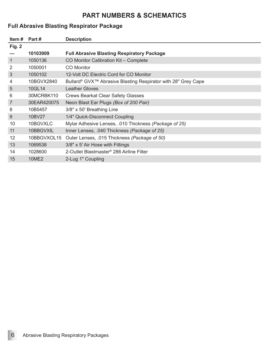## **PART NUMBERS & SCHEMATICS**

## **Full Abrasive Blasting Respirator Package**

| Item#           | Part #       | <b>Description</b>                                                        |
|-----------------|--------------|---------------------------------------------------------------------------|
| Fig. 2          |              |                                                                           |
|                 | 10103909     | <b>Full Abrasive Blasting Respiratory Package</b>                         |
| $\mathbf{1}$    | 1050136      | CO Monitor Calibration Kit - Complete                                     |
| $\overline{2}$  | 1050001      | <b>CO</b> Monitor                                                         |
| 3               | 1050102      | 12-Volt DC Electric Cord for CO Monitor                                   |
| 4               | 10BGVX2840   | Bullard <sup>®</sup> GVX™ Abrasive Blasting Respirator with 28" Grey Cape |
| $5\overline{)}$ | 10GL14       | <b>Leather Gloves</b>                                                     |
| 6               | 30MCRBK110   | <b>Crews Bearkat Clear Safety Glasses</b>                                 |
| 7               | 30EAR420075  | Neon Blast Ear Plugs (Box of 200 Pair)                                    |
| 8               | 10B5457      | 3/8" x 50' Breathing Line                                                 |
| 9               | 10BV27       | 1/4" Quick-Disconnect Coupling                                            |
| 10              | 10BGVXLC     | Mylar Adhesive Lenses, .010 Thickness (Package of 25)                     |
| 11              | 10BBGVXIL    | Inner Lenses, .040 Thickness (Package of 25)                              |
| 12              | 10BBGVXOL15  | Outer Lenses, .015 Thickness (Package of 50)                              |
| 13              | 1069538      | 3/8" x 5' Air Hose with Fittings                                          |
| 14              | 1028600      | 2-Outlet Blastmaster <sup>®</sup> 286 Airline Filter                      |
| 15              | <b>10ME2</b> | 2-Lug 1" Coupling                                                         |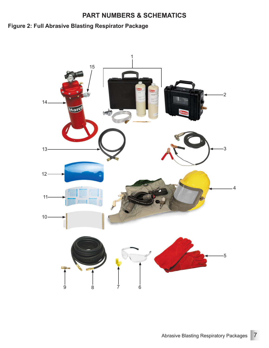## **PART NUMBERS & SCHEMATICS**

# **Figure 2: Full Abrasive Blasting Respirator Package**